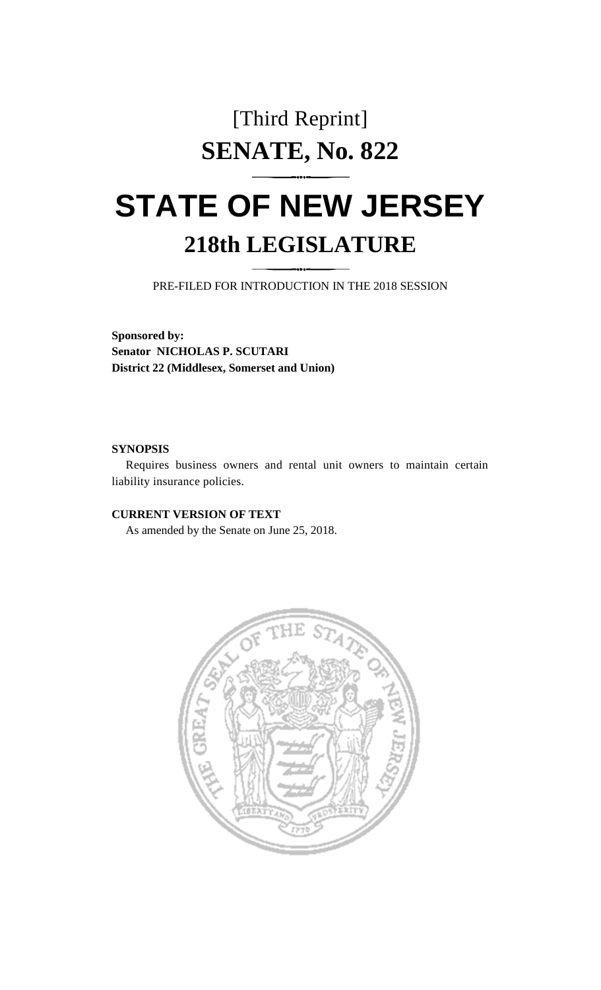## [Third Reprint] **SENATE, No. 822**

## **STATE OF NEW JERSEY 218th LEGISLATURE**

PRE-FILED FOR INTRODUCTION IN THE 2018 SESSION

**Sponsored by: Senator NICHOLAS P. SCUTARI District 22 (Middlesex, Somerset and Union)**

## **SYNOPSIS**

Requires business owners and rental unit owners to maintain certain liability insurance policies.

## **CURRENT VERSION OF TEXT**

As amended by the Senate on June 25, 2018.